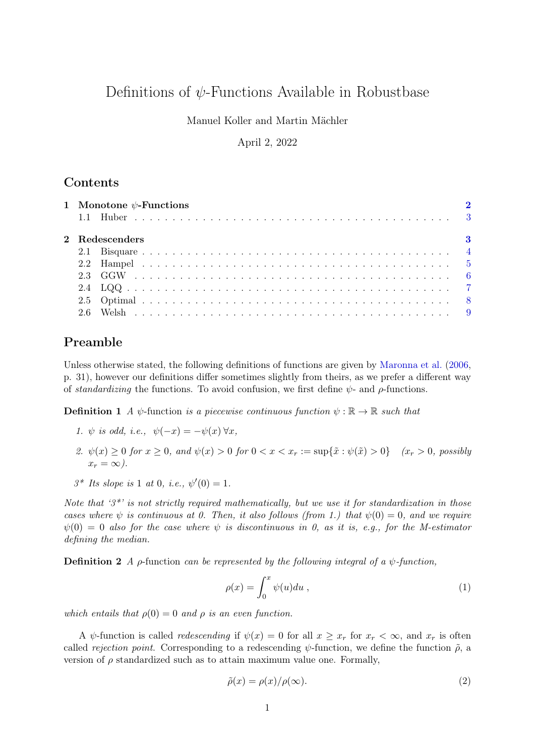# Definitions of  $\psi$ -Functions Available in Robustbase

## Manuel Koller and Martin Mächler

### April 2, 2022

## **Contents**

|  | 1 Monotone $\psi$ -Functions |                |          |  |  |
|--|------------------------------|----------------|----------|--|--|
|  |                              |                |          |  |  |
|  |                              | 2 Redescenders | $\bf{3}$ |  |  |
|  |                              |                |          |  |  |
|  |                              |                |          |  |  |
|  |                              |                |          |  |  |
|  |                              |                |          |  |  |
|  |                              |                |          |  |  |
|  |                              |                |          |  |  |

## Preamble

Unless otherwise stated, the following definitions of functions are given by [Maronna et al.](#page-8-1) [\(2006,](#page-8-1) p. 31), however our definitions differ sometimes slightly from theirs, as we prefer a different way of *standardizing* the functions. To avoid confusion, we first define  $\psi$ - and  $\rho$ -functions.

**Definition 1** *A*  $\psi$ -function *is a piecewise continuous function*  $\psi : \mathbb{R} \to \mathbb{R}$  *such that* 

- *1.*  $\psi$  *is odd, i.e.,*  $\psi(-x) = -\psi(x) \,\forall x$ ,
- *2.*  $\psi(x) \ge 0$  *for*  $x \ge 0$ *, and*  $\psi(x) > 0$  *for*  $0 < x < x_r := \sup\{\tilde{x} : \psi(\tilde{x}) > 0\}$  *(x<sub>r</sub>* > 0*, possibly*  $x_r = \infty$ .
- $3^*$  *Its slope is* 1 *at* 0*, i.e.,*  $\psi'(0) = 1$ *.*

*Note that '3\*' is not strictly required mathematically, but we use it for standardization in those cases where*  $\psi$  *is continuous at 0. Then, it also follows (from 1.) that*  $\psi(0) = 0$ *, and we require*  $\psi(0) = 0$  also for the case where  $\psi$  is discontinuous in 0, as it is, e.g., for the M-estimator *defining the median.*

Definition 2 *A* ρ-function *can be represented by the following integral of a* ψ*-function,*

$$
\rho(x) = \int_0^x \psi(u) du , \qquad (1)
$$

*which entails that*  $\rho(0) = 0$  *and*  $\rho$  *is an even function.* 

A  $\psi$ -function is called *redescending* if  $\psi(x) = 0$  for all  $x \geq x_r$  for  $x_r < \infty$ , and  $x_r$  is often called *rejection point*. Corresponding to a redescending  $\psi$ -function, we define the function  $\tilde{\rho}$ , a version of  $\rho$  standardized such as to attain maximum value one. Formally,

$$
\tilde{\rho}(x) = \rho(x) / \rho(\infty). \tag{2}
$$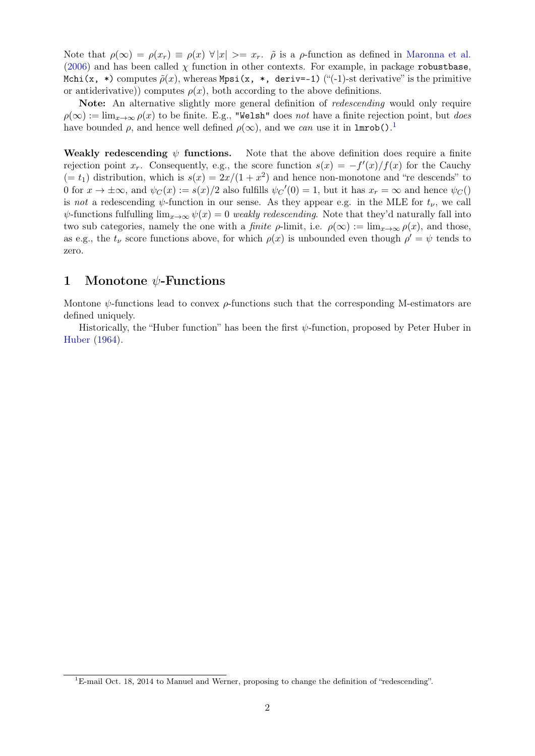Note that  $\rho(\infty) = \rho(x_r) \equiv \rho(x) \; \forall |x| \rangle = x_r$ .  $\tilde{\rho}$  is a  $\rho$ -function as defined in [Maronna et al.](#page-8-1) [\(2006\)](#page-8-1) and has been called  $\chi$  function in other contexts. For example, in package robustbase, Mchi(x, \*) computes  $\tilde{\rho}(x)$ , whereas Mpsi(x, \*, deriv=-1) ("(-1)-st derivative" is the primitive or antiderivative)) computes  $\rho(x)$ , both according to the above definitions.

Note: An alternative slightly more general definition of *redescending* would only require  $\rho(\infty) := \lim_{x\to\infty} \rho(x)$  to be finite. E.g., "Welsh" does *not* have a finite rejection point, but *does* have bounded  $\rho$ , and hence well defined  $\rho(\infty)$ , and we *can* use it in **lmrob**().<sup>[1](#page-1-1)</sup>

Weakly redescending  $\psi$  functions. Note that the above definition does require a finite rejection point  $x_r$ . Consequently, e.g., the score function  $s(x) = -f'(x)/f(x)$  for the Cauchy  $(= t_1)$  distribution, which is  $s(x) = 2x/(1+x^2)$  and hence non-monotone and "re descends" to 0 for  $x \to \pm \infty$ , and  $\psi_C(x) := s(x)/2$  also fulfills  $\psi_C'(0) = 1$ , but it has  $x_r = \infty$  and hence  $\psi_C(0)$ is *not* a redescending  $\psi$ -function in our sense. As they appear e.g. in the MLE for  $t_{\nu}$ , we call  $\psi$ -functions fulfulling  $\lim_{x\to\infty}\psi(x)=0$  *weakly redescending*. Note that they'd naturally fall into two sub categories, namely the one with a *finite*  $\rho$ -limit, i.e.  $\rho(\infty) := \lim_{x \to \infty} \rho(x)$ , and those, as e.g., the  $t_{\nu}$  score functions above, for which  $\rho(x)$  is unbounded even though  $\rho' = \psi$  tends to zero.

## <span id="page-1-0"></span>1 Monotone  $\psi$ -Functions

Montone  $\psi$ -functions lead to convex  $\rho$ -functions such that the corresponding M-estimators are defined uniquely.

Historically, the "Huber function" has been the first  $\psi$ -function, proposed by Peter Huber in [Huber](#page-8-2) [\(1964\)](#page-8-2).

<span id="page-1-1"></span><sup>&</sup>lt;sup>1</sup>E-mail Oct. 18, 2014 to Manuel and Werner, proposing to change the definition of "redescending".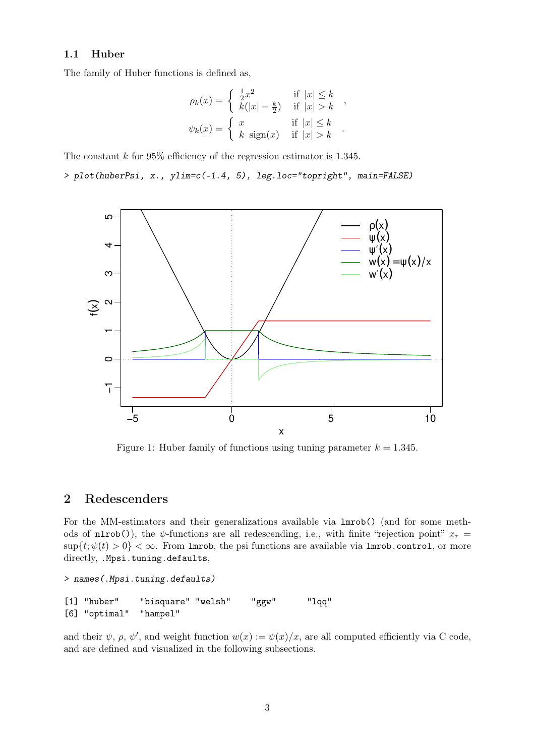#### <span id="page-2-0"></span>1.1 Huber

The family of Huber functions is defined as,

$$
\rho_k(x) = \begin{cases}\n\frac{1}{2}x^2 & \text{if } |x| \le k \\
k(|x| - \frac{k}{2}) & \text{if } |x| > k\n\end{cases},
$$
\n
$$
\psi_k(x) = \begin{cases}\nx & \text{if } |x| \le k \\
k \operatorname{sign}(x) & \text{if } |x| > k\n\end{cases}.
$$

The constant  $k$  for 95% efficiency of the regression estimator is 1.345.

*> plot(huberPsi, x., ylim=c(-1.4, 5), leg.loc="topright", main=FALSE)*



Figure 1: Huber family of functions using tuning parameter  $k = 1.345$ .

## <span id="page-2-1"></span>2 Redescenders

For the MM-estimators and their generalizations available via lmrob() (and for some methods of nlrob()), the  $\psi$ -functions are all redescending, i.e., with finite "rejection point"  $x_r =$  $\sup\{t; \psi(t) > 0\} < \infty$ . From lmrob, the psi functions are available via lmrob.control, or more directly, . Mpsi.tuning.defaults,

```
> names(.Mpsi.tuning.defaults)
[1] "huber" "bisquare" "welsh" "ggw" "lqq"
[6] "optimal" "hampel"
```
and their  $\psi$ ,  $\rho$ ,  $\psi'$ , and weight function  $w(x) := \psi(x)/x$ , are all computed efficiently via C code, and are defined and visualized in the following subsections.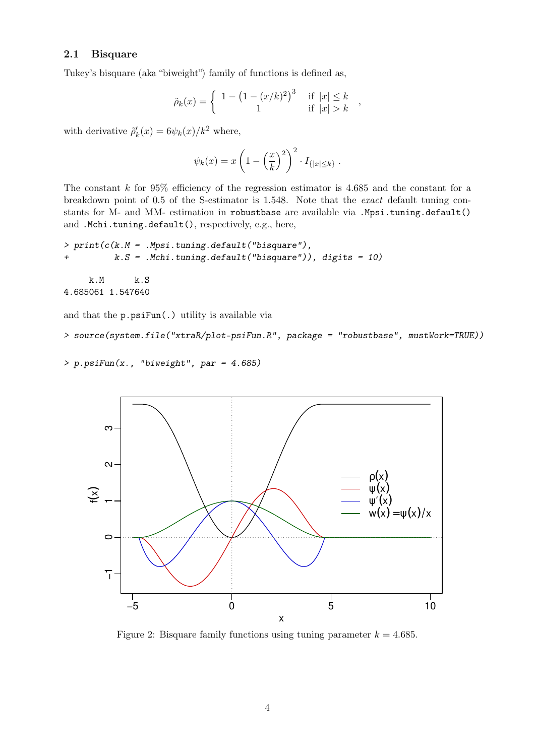#### <span id="page-3-0"></span>2.1 Bisquare

Tukey's bisquare (aka "biweight") family of functions is defined as,

$$
\tilde{\rho}_k(x) = \begin{cases} 1 - \left(1 - (x/k)^2\right)^3 & \text{if } |x| \le k \\ 1 & \text{if } |x| > k \end{cases}
$$

,

with derivative  $\tilde{\rho}'_k(x) = 6\psi_k(x)/k^2$  where,

$$
\psi_k(x) = x \left( 1 - \left(\frac{x}{k}\right)^2 \right)^2 \cdot I_{\{|x| \le k\}}.
$$

The constant k for  $95\%$  efficiency of the regression estimator is 4.685 and the constant for a breakdown point of 0.5 of the S-estimator is 1.548. Note that the *exact* default tuning constants for M- and MM- estimation in robustbase are available via .Mpsi.tuning.default() and .Mchi.tuning.default(), respectively, e.g., here,

```
> print(c(k.M = .Mpsi.tuning.default("bisquare"),
+ k.S = .Mchi.tuning.default("bisquare")), digits = 10)
    k.M k.S
4.685061 1.547640
```
and that the p.psiFun(.) utility is available via

```
> source(system.file("xtraR/plot-psiFun.R", package = "robustbase", mustWork=TRUE))
```

```
> p.psiFun(x., "biweight", par = 4.685)
```


Figure 2: Bisquare family functions using tuning parameter  $k = 4.685$ .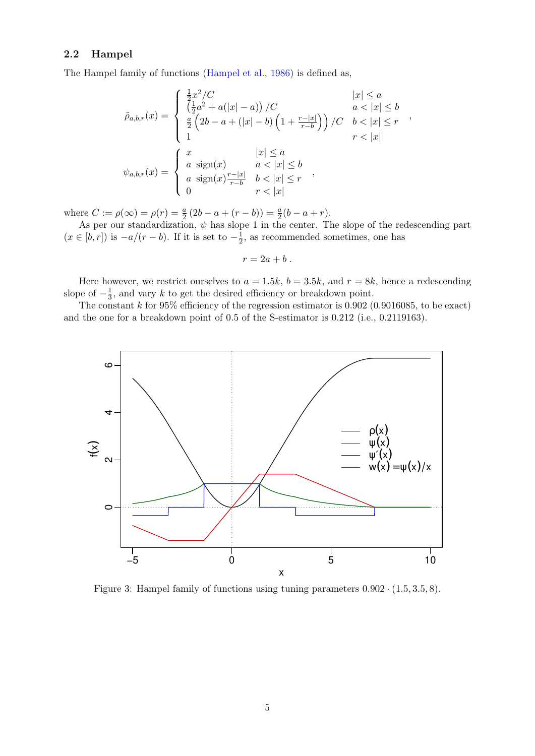## <span id="page-4-0"></span>2.2 Hampel

The Hampel family of functions [\(Hampel et al.,](#page-8-3) [1986\)](#page-8-3) is defined as,

$$
\tilde{\rho}_{a,b,r}(x) = \begin{cases}\n\frac{1}{2}x^2/C & |x| \le a \\
\left(\frac{1}{2}a^2 + a(|x| - a)\right)/C & a < |x| \le b \\
\frac{a}{2}\left(2b - a + (|x| - b)\left(1 + \frac{r - |x|}{r - b}\right)\right)/C & b < |x| \le r \\
1 & r < |x|\n\end{cases},
$$
\n
$$
\psi_{a,b,r}(x) = \begin{cases}\nx & |x| \le a \\
a \operatorname{sign}(x) & a < |x| \le b \\
a \operatorname{sign}(x)\frac{r - |x|}{r - b} & b < |x| \le r \\
0 & r < |x|\n\end{cases}
$$

where  $C := \rho(\infty) = \rho(r) = \frac{a}{2}(2b - a + (r - b)) = \frac{a}{2}(b - a + r)$ .

As per our standardization,  $\psi$  has slope 1 in the center. The slope of the redescending part  $(x \in [b, r])$  is  $-a/(r - b)$ . If it is set to  $-\frac{1}{2}$  $\frac{1}{2}$ , as recommended sometimes, one has

$$
r=2a+b.
$$

Here however, we restrict ourselves to  $a = 1.5k$ ,  $b = 3.5k$ , and  $r = 8k$ , hence a redescending slope of  $-\frac{1}{3}$  $\frac{1}{3}$ , and vary k to get the desired efficiency or breakdown point.

The constant  $k$  for 95% efficiency of the regression estimator is 0.902 (0.9016085, to be exact) and the one for a breakdown point of 0.5 of the S-estimator is 0.212 (i.e., 0.2119163).



Figure 3: Hampel family of functions using tuning parameters  $0.902 \cdot (1.5, 3.5, 8)$ .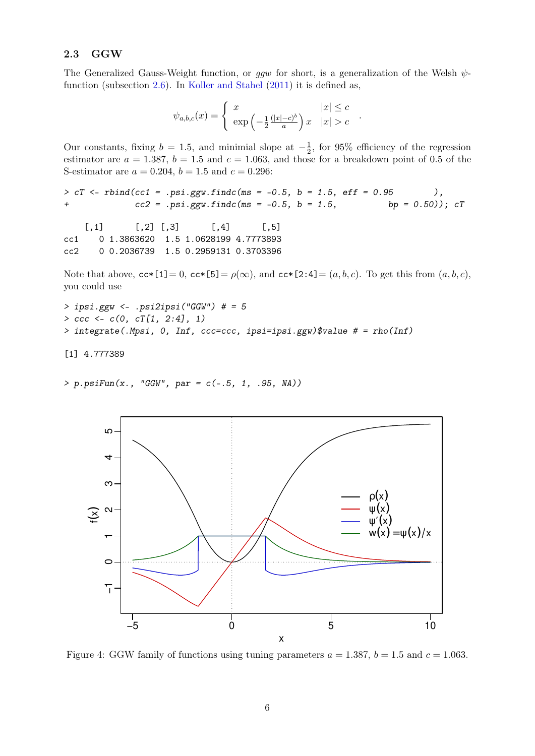## <span id="page-5-0"></span>2.3 GGW

The Generalized Gauss-Weight function, or *ggw* for short, is a generalization of the Welsh  $\psi$ function (subsection [2.6\)](#page-8-0). In [Koller and Stahel](#page-8-4) [\(2011\)](#page-8-4) it is defined as,

$$
\psi_{a,b,c}(x) = \begin{cases} x & |x| \le c \\ \exp\left(-\frac{1}{2} \frac{(|x|-c)^b}{a}\right) x & |x| > c \end{cases}
$$

.

Our constants, fixing  $b = 1.5$ , and minimial slope at  $-\frac{1}{2}$  $\frac{1}{2}$ , for 95% efficiency of the regression estimator are  $a = 1.387$ ,  $b = 1.5$  and  $c = 1.063$ , and those for a breakdown point of 0.5 of the S-estimator are  $a = 0.204$ ,  $b = 1.5$  and  $c = 0.296$ :

```
> cT <- rbind(cc1 = .psi.ggw.findc(ms = -0.5, b = 1.5, eff = 0.95 ),
+ cc2 = .psi.ggw.findc(ms = -0.5, b = 1.5, bp = 0.50)); cT
```
 $[0,1]$   $[0,2]$   $[0,3]$   $[0,4]$   $[0,5]$ cc1 0 1.3863620 1.5 1.0628199 4.7773893 cc2 0 0.2036739 1.5 0.2959131 0.3703396

Note that above,  $cc*[\mathbf{1}] = 0$ ,  $cc*[\mathbf{5}] = \rho(\infty)$ , and  $cc*[\mathbf{2:4}] = (a, b, c)$ . To get this from  $(a, b, c)$ , you could use

```
> ipsi.ggw <- .psi2ipsi("GGW") # = 5
> ccc <- c(0, cT[1, 2:4], 1)
> integrate(.Mpsi, 0, Inf, ccc=ccc, ipsi=ipsi.ggw)$value # = rho(Inf)
```
[1] 4.777389

*> p.psiFun(x., "GGW", par = c(-.5, 1, .95, NA))*



Figure 4: GGW family of functions using tuning parameters  $a = 1.387$ ,  $b = 1.5$  and  $c = 1.063$ .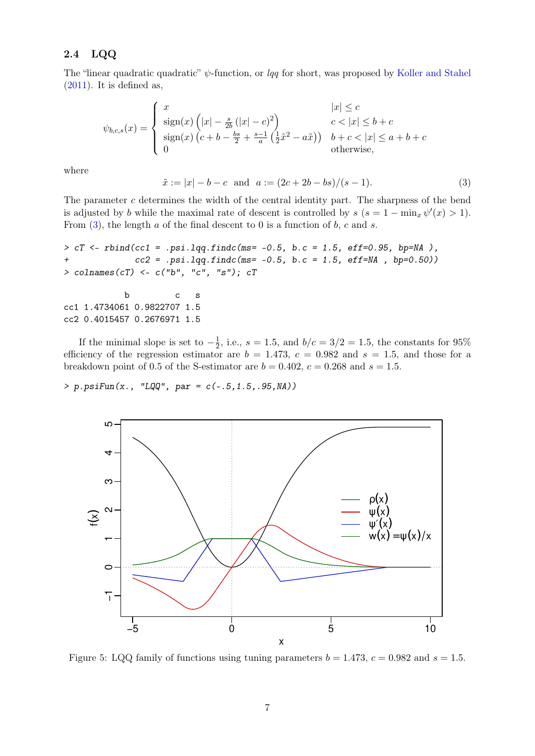## <span id="page-6-0"></span>2.4 LQQ

The "linear quadratic quadratic"  $\psi$ -function, or *lqq* for short, was proposed by [Koller and Stahel](#page-8-4)  $(2011)$ . It is defined as,

$$
\psi_{b,c,s}(x) = \begin{cases}\n x & |x| \le c \\
 \operatorname{sign}(x) \left( |x| - \frac{s}{2b} \left( |x| - c \right)^2 \right) & c < |x| \le b + c \\
 \operatorname{sign}(x) \left( c + b - \frac{bs}{2} + \frac{s-1}{a} \left( \frac{1}{2} \tilde{x}^2 - a\tilde{x} \right) \right) & b + c < |x| \le a + b + c \\
 0 & \text{otherwise,}\n\end{cases}
$$

where

<span id="page-6-1"></span>
$$
\tilde{x} := |x| - b - c \text{ and } a := (2c + 2b - bs)/(s - 1). \tag{3}
$$

The parameter c determines the width of the central identity part. The sharpness of the bend is adjusted by b while the maximal rate of descent is controlled by  $s$   $(s = 1 - \min_x \psi'(x) > 1)$ . From  $(3)$ , the length a of the final descent to 0 is a function of b, c and s.

```
> cT <- rbind(cc1 = .psi.lqq.findc(ms= -0.5, b.c = 1.5, eff=0.95, bp=NA ),
+ cc2 = .psi.lqq.findc(ms= -0.5, b.c = 1.5, eff=NA , bp=0.50))
> colnames(cT) <- c("b", "c", "s"); cT
```

```
b c s
cc1 1.4734061 0.9822707 1.5
cc2 0.4015457 0.2676971 1.5
```
If the minimal slope is set to  $-\frac{1}{2}$  $\frac{1}{2}$ , i.e.,  $s = 1.5$ , and  $b/c = 3/2 = 1.5$ , the constants for 95% efficiency of the regression estimator are  $b = 1.473$ ,  $c = 0.982$  and  $s = 1.5$ , and those for a breakdown point of 0.5 of the S-estimator are  $b = 0.402$ ,  $c = 0.268$  and  $s = 1.5$ .

*> p.psiFun(x., "LQQ", par = c(-.5,1.5,.95,NA))*



Figure 5: LQQ family of functions using tuning parameters  $b = 1.473$ ,  $c = 0.982$  and  $s = 1.5$ .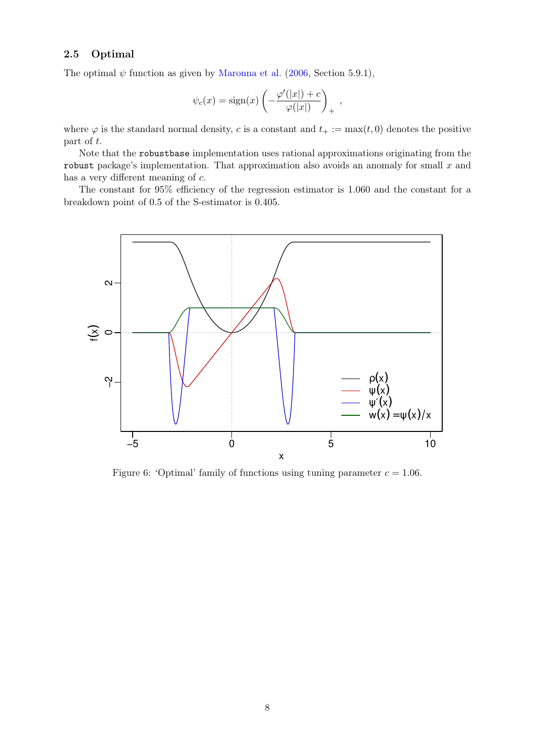## <span id="page-7-0"></span>2.5 Optimal

The optimal  $\psi$  function as given by [Maronna et al.](#page-8-1) [\(2006,](#page-8-1) Section 5.9.1),

$$
\psi_c(x) = \text{sign}(x) \left( -\frac{\varphi'(|x|) + c}{\varphi(|x|)} \right)_+,
$$

where  $\varphi$  is the standard normal density, c is a constant and  $t_{+} := \max(t, 0)$  denotes the positive part of t.

Note that the robustbase implementation uses rational approximations originating from the robust package's implementation. That approximation also avoids an anomaly for small  $x$  and has a very different meaning of c.

The constant for 95% efficiency of the regression estimator is 1.060 and the constant for a breakdown point of 0.5 of the S-estimator is 0.405.



Figure 6: 'Optimal' family of functions using tuning parameter  $c = 1.06$ .